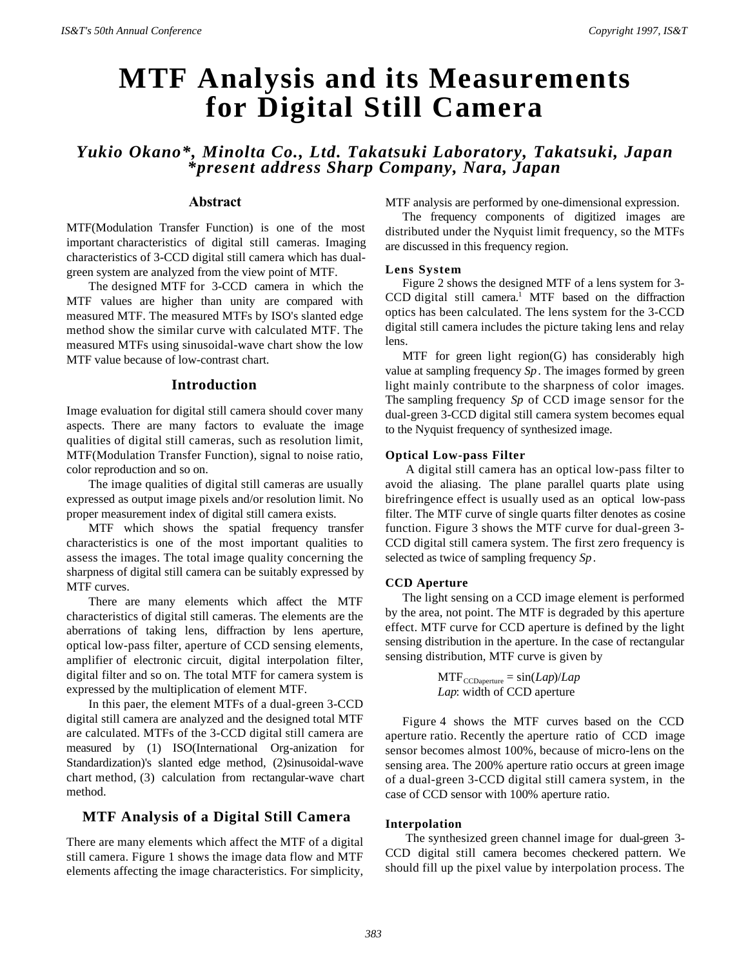# **MTF Analysis and its Measurements for Digital Still Camera**

*Yukio Okano\*, Minolta Co., Ltd. Takatsuki Laboratory, Takatsuki, Japan \*present address Sharp Company, Nara, Japan*

# **Abstract**

MTF(Modulation Transfer Function) is one of the most important characteristics of digital still cameras. Imaging characteristics of 3-CCD digital still camera which has dualgreen system are analyzed from the view point of MTF.

The designed MTF for 3-CCD camera in which the MTF values are higher than unity are compared with measured MTF. The measured MTFs by ISO's slanted edge method show the similar curve with calculated MTF. The measured MTFs using sinusoidal-wave chart show the low MTF value because of low-contrast chart.

## **Introduction**

Image evaluation for digital still camera should cover many aspects. There are many factors to evaluate the image qualities of digital still cameras, such as resolution limit, MTF(Modulation Transfer Function), signal to noise ratio, color reproduction and so on.

The image qualities of digital still cameras are usually expressed as output image pixels and/or resolution limit. No proper measurement index of digital still camera exists.

MTF which shows the spatial frequency transfer characteristics is one of the most important qualities to assess the images. The total image quality concerning the sharpness of digital still camera can be suitably expressed by MTF curves.

There are many elements which affect the MTF characteristics of digital still cameras. The elements are the aberrations of taking lens, diffraction by lens aperture, optical low-pass filter, aperture of CCD sensing elements, amplifier of electronic circuit, digital interpolation filter, digital filter and so on. The total MTF for camera system is expressed by the multiplication of element MTF.

In this paer, the element MTFs of a dual-green 3-CCD digital still camera are analyzed and the designed total MTF are calculated. MTFs of the 3-CCD digital still camera are measured by (1) ISO(International Org-anization for Standardization)'s slanted edge method, (2)sinusoidal-wave chart method, (3) calculation from rectangular-wave chart method.

# **MTF Analysis of a Digital Still Camera**

There are many elements which affect the MTF of a digital still camera. Figure 1 shows the image data flow and MTF elements affecting the image characteristics. For simplicity, MTF analysis are performed by one-dimensional expression.

The frequency components of digitized images are distributed under the Nyquist limit frequency, so the MTFs are discussed in this frequency region.

#### **Lens System**

Figure 2 shows the designed MTF of a lens system for 3-  $CCD$  digital still camera.<sup>1</sup> MTF based on the diffraction optics has been calculated. The lens system for the 3-CCD digital still camera includes the picture taking lens and relay lens.

MTF for green light region(G) has considerably high value at sampling frequency *Sp*. The images formed by green light mainly contribute to the sharpness of color images. The sampling frequency *Sp* of CCD image sensor for the dual-green 3-CCD digital still camera system becomes equal to the Nyquist frequency of synthesized image.

#### **Optical Low-pass Filter**

 A digital still camera has an optical low-pass filter to avoid the aliasing. The plane parallel quarts plate using birefringence effect is usually used as an optical low-pass filter. The MTF curve of single quarts filter denotes as cosine function. Figure 3 shows the MTF curve for dual-green 3- CCD digital still camera system. The first zero frequency is selected as twice of sampling frequency *Sp*.

## **CCD Aperture**

The light sensing on a CCD image element is performed by the area, not point. The MTF is degraded by this aperture effect. MTF curve for CCD aperture is defined by the light sensing distribution in the aperture. In the case of rectangular sensing distribution, MTF curve is given by

> $MTF_{\text{CCDaperture}} = \sin(Lap)/Lap$ *Lap*: width of CCD aperture

Figure 4 shows the MTF curves based on the CCD aperture ratio. Recently the aperture ratio of CCD image sensor becomes almost 100%, because of micro-lens on the sensing area. The 200% aperture ratio occurs at green image of a dual-green 3-CCD digital still camera system, in the case of CCD sensor with 100% aperture ratio.

#### **Interpolation**

 The synthesized green channel image for dual-green 3- CCD digital still camera becomes checkered pattern. We should fill up the pixel value by interpolation process. The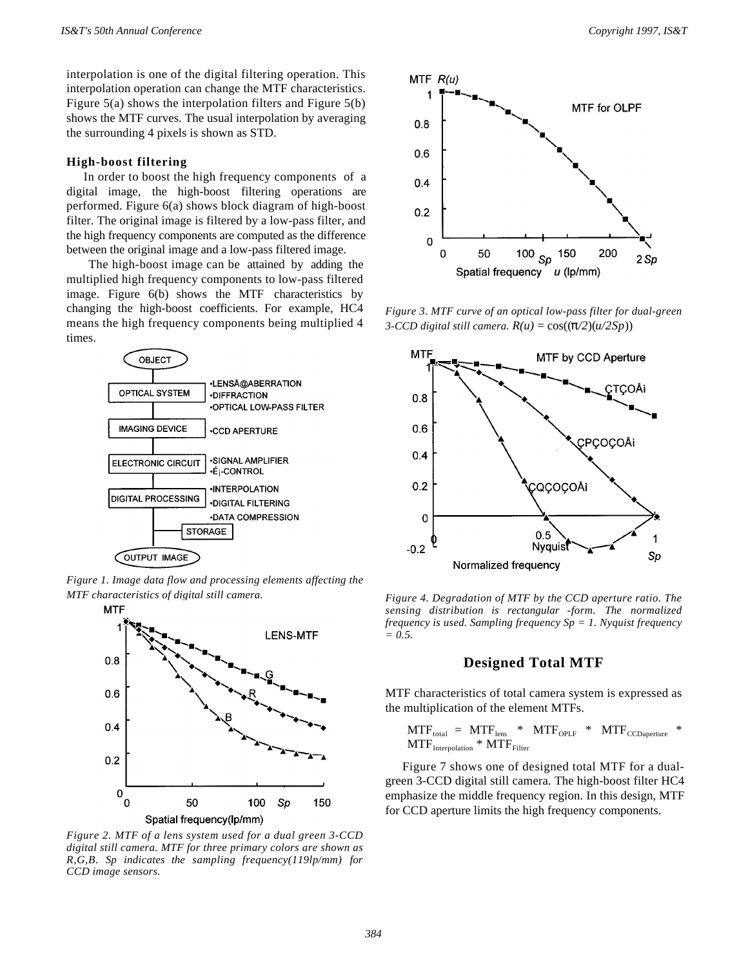interpolation is one of the digital filtering operation. This interpolation operation can change the MTF characteristics. Figure 5(a) shows the interpolation filters and Figure 5(b) shows the MTF curves. The usual interpolation by averaging the surrounding 4 pixels is shown as STD.

#### **High-boost filtering**

In order to boost the high frequency components of a digital image, the high-boost filtering operations are performed. Figure 6(a) shows block diagram of high-boost filter. The original image is filtered by a low-pass filter, and the high frequency components are computed as the difference between the original image and a low-pass filtered image.

The high-boost image can be attained by adding the multiplied high frequency components to low-pass filtered image. Figure 6(b) shows the MTF characteristics by changing the high-boost coefficients. For example, HC4 means the high frequency components being multiplied 4 times.



*Figure 1. Image data flow and processing elements affecting the MTF characteristics of digital still camera.*



*Figure 2. MTF of a lens system used for a dual green 3-CCD digital still camera. MTF for three primary colors are shown as R,G,B. Sp indicates the sampling frequency(119lp/mm) for CCD image sensors.*



*Figure 3. MTF curve of an optical low-pass filter for dual-green 3-CCD digital still camera.*  $R(u) = \cos((\pi/2)(u/2Sp))$ 



*Figure 4. Degradation of MTF by the CCD aperture ratio. The sensing distribution is rectangular -form. The normalized frequency is used. Sampling frequency Sp = 1. Nyquist frequency = 0.5.*

## **Designed Total MTF**

MTF characteristics of total camera system is expressed as the multiplication of the element MTFs.

$$
MTFtotal = MTFlens * MTFOPLF * MTFCCDaperture *MTFInterpolation * MTFfilter
$$

Figure 7 shows one of designed total MTF for a dualgreen 3-CCD digital still camera. The high-boost filter HC4 emphasize the middle frequency region. In this design, MTF for CCD aperture limits the high frequency components.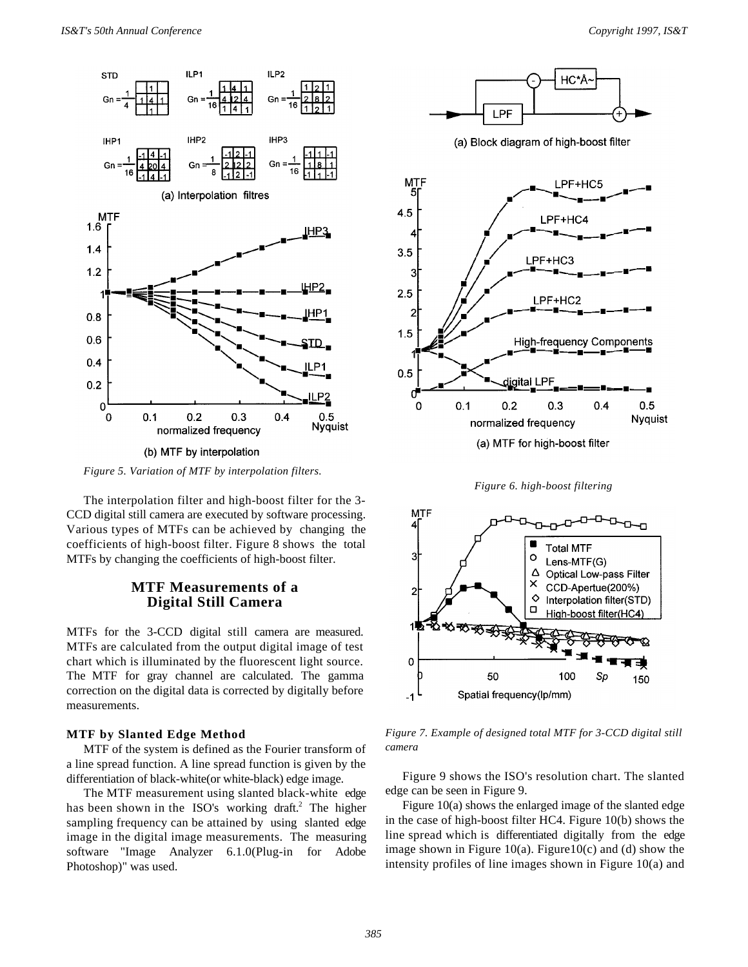

(b) MTF by interpolation

*Figure 5. Variation of MTF by interpolation filters.*

The interpolation filter and high-boost filter for the 3- CCD digital still camera are executed by software processing. Various types of MTFs can be achieved by changing the coefficients of high-boost filter. Figure 8 shows the total MTFs by changing the coefficients of high-boost filter.

# **MTF Measurements of a Digital Still Camera**

MTFs for the 3-CCD digital still camera are measured. MTFs are calculated from the output digital image of test chart which is illuminated by the fluorescent light source. The MTF for gray channel are calculated. The gamma correction on the digital data is corrected by digitally before measurements.

## **MTF by Slanted Edge Method**

MTF of the system is defined as the Fourier transform of a line spread function. A line spread function is given by the differentiation of black-white(or white-black) edge image.

The MTF measurement using slanted black-white edge has been shown in the ISO's working draft.<sup>2</sup> The higher sampling frequency can be attained by using slanted edge image in the digital image measurements. The measuring software "Image Analyzer 6.1.0(Plug-in for Adobe Photoshop)" was used.



(a) Block diagram of high-boost filter



*Figure 6. high-boost filtering*



*Figure 7. Example of designed total MTF for 3-CCD digital still camera*

Figure 9 shows the ISO's resolution chart. The slanted edge can be seen in Figure 9.

Figure 10(a) shows the enlarged image of the slanted edge in the case of high-boost filter HC4. Figure 10(b) shows the line spread which is differentiated digitally from the edge image shown in Figure 10(a). Figure 10(c) and (d) show the intensity profiles of line images shown in Figure 10(a) and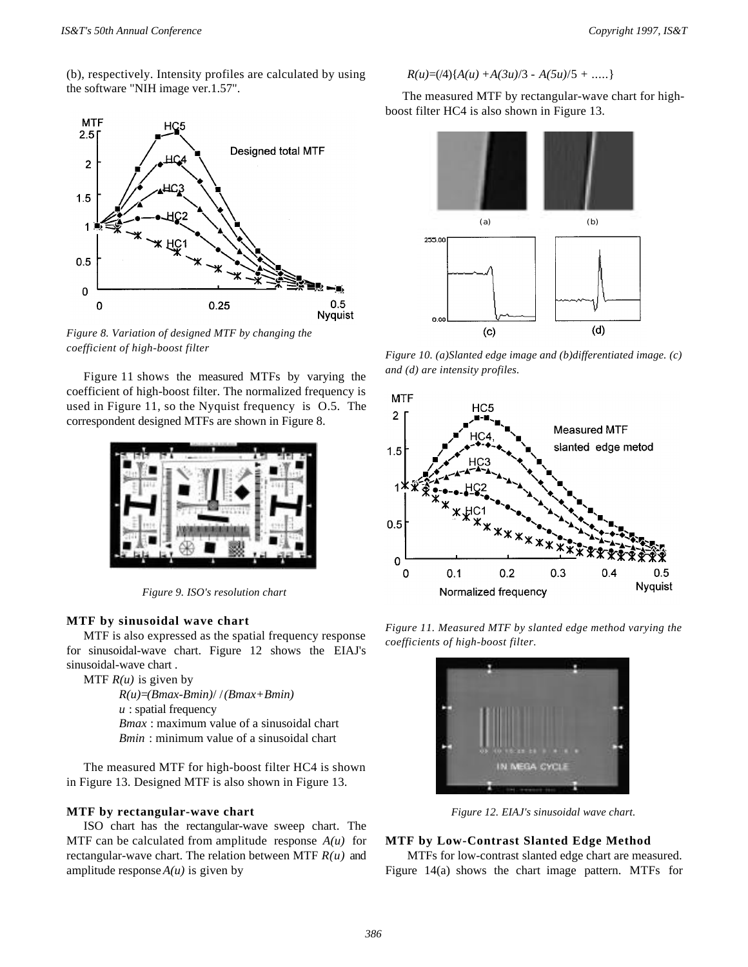(b), respectively. Intensity profiles are calculated by using the software "NIH image ver.1.57".



*Figure 8. Variation of designed MTF by changing the coefficient of high-boost filter*

Figure 11 shows the measured MTFs by varying the coefficient of high-boost filter. The normalized frequency is used in Figure 11, so the Nyquist frequency is O.5. The correspondent designed MTFs are shown in Figure 8.



*Figure 9. ISO's resolution chart*

#### **MTF by sinusoidal wave chart**

MTF is also expressed as the spatial frequency response for sinusoidal-wave chart. Figure 12 shows the EIAJ's sinusoidal-wave chart .

MTF *R(u)* is given by *R(u)*=*(Bmax-Bmin)*/ /*(Bmax+Bmin) u* : spatial frequency *Bmax* : maximum value of a sinusoidal chart

*Bmin* : minimum value of a sinusoidal chart

The measured MTF for high-boost filter HC4 is shown in Figure 13. Designed MTF is also shown in Figure 13.

## **MTF by rectangular-wave chart**

ISO chart has the rectangular-wave sweep chart. The MTF can be calculated from amplitude response *A(u)* for rectangular-wave chart. The relation between MTF *R(u)* and amplitude response  $A(u)$  is given by

$$
R(u)=(4){A(u) + A(3u)/3 - A(5u)/5 + ....}
$$

The measured MTF by rectangular-wave chart for highboost filter HC4 is also shown in Figure 13.



*Figure 10. (a)Slanted edge image and (b)differentiated image. (c) and (d) are intensity profiles.*



*Figure 11. Measured MTF by slanted edge method varying the coefficients of high-boost filter.*



*Figure 12. EIAJ's sinusoidal wave chart.*

#### **MTF by Low-Contrast Slanted Edge Method**

MTFs for low-contrast slanted edge chart are measured. Figure 14(a) shows the chart image pattern. MTFs for